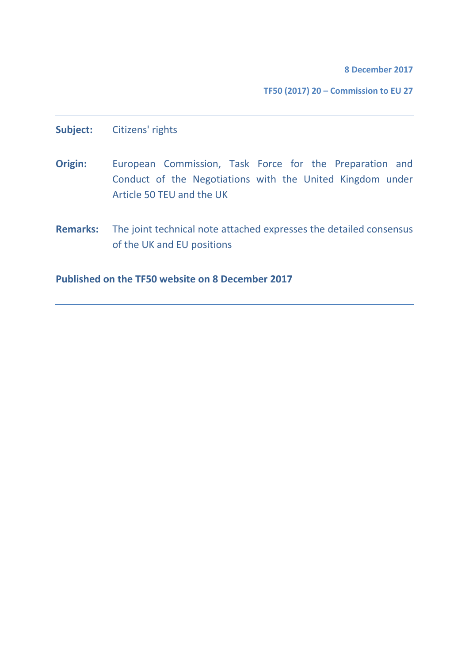**8 December 2017**

**TF50 (2017) 20 – Commission to EU 27**

**Subject:** Citizens' rights

- **Origin:** European Commission, Task Force for the Preparation and Conduct of the Negotiations with the United Kingdom under Article 50 TEU and the UK
- **Remarks:** The joint technical note attached expresses the detailed consensus of the UK and EU positions

**Published on the TF50 website on 8 December 2017**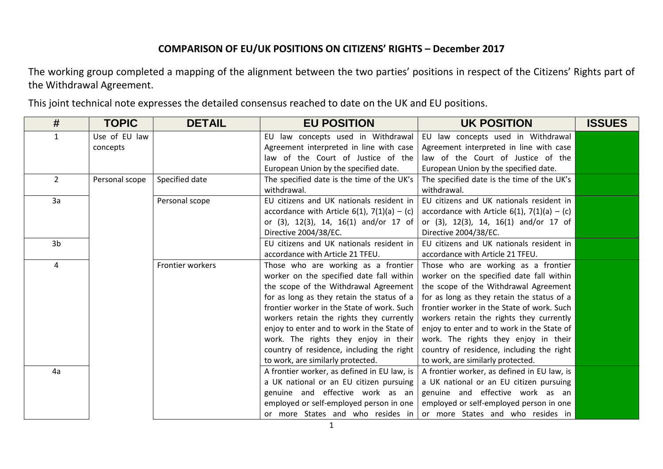The working group completed a mapping of the alignment between the two parties' positions in respect of the Citizens' Rights part of the Withdrawal Agreement.

This joint technical note expresses the detailed consensus reached to date on the UK and EU positions.

| #              | <b>TOPIC</b>   | <b>DETAIL</b>    | <b>EU POSITION</b>                                        | <b>UK POSITION</b>                                        | <b>ISSUES</b> |
|----------------|----------------|------------------|-----------------------------------------------------------|-----------------------------------------------------------|---------------|
| $\mathbf{1}$   | Use of EU law  |                  | EU law concepts used in Withdrawal                        | EU law concepts used in Withdrawal                        |               |
|                | concepts       |                  | Agreement interpreted in line with case                   | Agreement interpreted in line with case                   |               |
|                |                |                  | law of the Court of Justice of the                        | law of the Court of Justice of the                        |               |
|                |                |                  | European Union by the specified date.                     | European Union by the specified date.                     |               |
| $2^{\circ}$    | Personal scope | Specified date   | The specified date is the time of the UK's<br>withdrawal. | The specified date is the time of the UK's<br>withdrawal. |               |
| 3a             |                | Personal scope   | EU citizens and UK nationals resident in                  | EU citizens and UK nationals resident in                  |               |
|                |                |                  | accordance with Article 6(1), $7(1)(a) - (c)$             | accordance with Article $6(1)$ , $7(1)(a) - (c)$          |               |
|                |                |                  | or (3), 12(3), 14, 16(1) and/or 17 of                     | or (3), 12(3), 14, 16(1) and/or 17 of                     |               |
|                |                |                  | Directive 2004/38/EC.                                     | Directive 2004/38/EC.                                     |               |
| 3 <sub>b</sub> |                |                  | EU citizens and UK nationals resident in                  | EU citizens and UK nationals resident in                  |               |
|                |                |                  | accordance with Article 21 TFEU.                          | accordance with Article 21 TFEU.                          |               |
| 4              |                | Frontier workers | Those who are working as a frontier                       | Those who are working as a frontier                       |               |
|                |                |                  | worker on the specified date fall within                  | worker on the specified date fall within                  |               |
|                |                |                  | the scope of the Withdrawal Agreement                     | the scope of the Withdrawal Agreement                     |               |
|                |                |                  | for as long as they retain the status of a                | for as long as they retain the status of a                |               |
|                |                |                  | frontier worker in the State of work. Such                | frontier worker in the State of work. Such                |               |
|                |                |                  | workers retain the rights they currently                  | workers retain the rights they currently                  |               |
|                |                |                  | enjoy to enter and to work in the State of                | enjoy to enter and to work in the State of                |               |
|                |                |                  | work. The rights they enjoy in their                      | work. The rights they enjoy in their                      |               |
|                |                |                  | country of residence, including the right                 | country of residence, including the right                 |               |
|                |                |                  | to work, are similarly protected.                         | to work, are similarly protected.                         |               |
| 4a             |                |                  | A frontier worker, as defined in EU law, is               | A frontier worker, as defined in EU law, is               |               |
|                |                |                  | a UK national or an EU citizen pursuing                   | a UK national or an EU citizen pursuing                   |               |
|                |                |                  | genuine and effective work as an                          | genuine and effective work as an                          |               |
|                |                |                  | employed or self-employed person in one                   | employed or self-employed person in one                   |               |
|                |                |                  | or more States and who resides in                         | or more States and who resides in                         |               |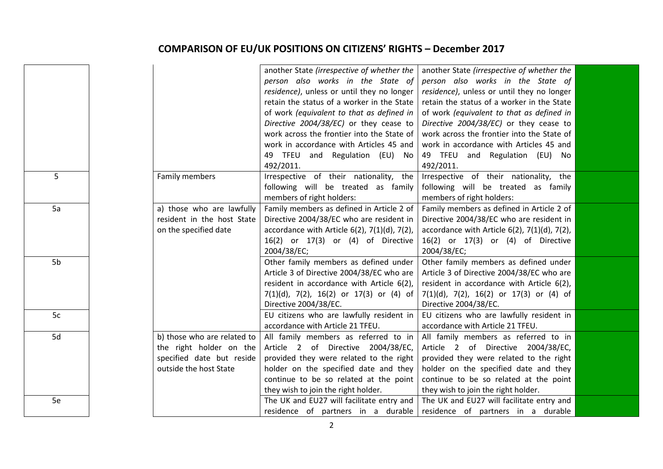| another State (irrespective of whether the                                     | another State (irrespective of whether the            |
|--------------------------------------------------------------------------------|-------------------------------------------------------|
| person also works in the State of                                              | person also works in the State of                     |
| residence), unless or until they no longer                                     | residence), unless or until they no longer            |
| retain the status of a worker in the State                                     | retain the status of a worker in the State            |
| of work (equivalent to that as defined in                                      | of work (equivalent to that as defined in             |
| Directive 2004/38/EC) or they cease to                                         | Directive 2004/38/EC) or they cease to                |
| work across the frontier into the State of                                     | work across the frontier into the State of            |
| work in accordance with Articles 45 and                                        | work in accordance with Articles 45 and               |
| 49 TFEU and Regulation (EU) No                                                 | 49 TFEU and Regulation (EU) No                        |
| 492/2011.                                                                      | 492/2011.                                             |
| 5<br>Irrespective of their nationality, the<br>Family members                  | Irrespective of their nationality, the                |
| following will be treated as family                                            | following will be treated as family                   |
| members of right holders:                                                      | members of right holders:                             |
| 5a<br>a) those who are lawfully<br>Family members as defined in Article 2 of   | Family members as defined in Article 2 of             |
| resident in the host State<br>Directive 2004/38/EC who are resident in         | Directive 2004/38/EC who are resident in              |
| on the specified date<br>accordance with Article $6(2)$ , $7(1)(d)$ , $7(2)$ , | accordance with Article $6(2)$ , $7(1)(d)$ , $7(2)$ , |
| 16(2) or 17(3) or (4) of Directive                                             | 16(2) or 17(3) or (4) of Directive                    |
| 2004/38/EC;                                                                    | 2004/38/EC;                                           |
| 5b<br>Other family members as defined under                                    | Other family members as defined under                 |
| Article 3 of Directive 2004/38/EC who are                                      | Article 3 of Directive 2004/38/EC who are             |
| resident in accordance with Article 6(2),                                      | resident in accordance with Article 6(2),             |
| $7(1)(d)$ , $7(2)$ , $16(2)$ or $17(3)$ or $(4)$ of                            | $7(1)(d)$ , $7(2)$ , $16(2)$ or $17(3)$ or $(4)$ of   |
| Directive 2004/38/EC.                                                          | Directive 2004/38/EC.                                 |
| EU citizens who are lawfully resident in<br>5c                                 | EU citizens who are lawfully resident in              |
| accordance with Article 21 TFEU.                                               | accordance with Article 21 TFEU.                      |
| 5d<br>b) those who are related to<br>All family members as referred to in      | All family members as referred to in                  |
| the right holder on the<br>Article 2 of Directive 2004/38/EC,                  | Article 2 of Directive 2004/38/EC,                    |
| specified date but reside<br>provided they were related to the right           | provided they were related to the right               |
| outside the host State<br>holder on the specified date and they                | holder on the specified date and they                 |
| continue to be so related at the point                                         | continue to be so related at the point                |
| they wish to join the right holder.                                            | they wish to join the right holder.                   |
| The UK and EU27 will facilitate entry and<br>5e                                | The UK and EU27 will facilitate entry and             |
| residence of partners in a durable                                             | residence of partners in a durable                    |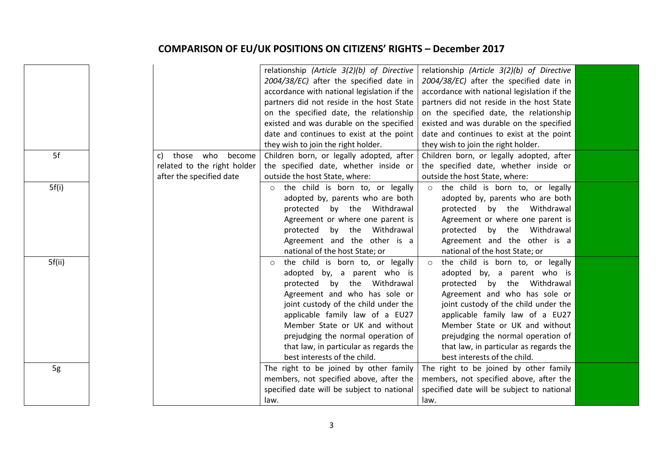|        |                             | relationship (Article 3(2)(b) of Directive  | relationship (Article 3(2)(b) of Directive  |  |
|--------|-----------------------------|---------------------------------------------|---------------------------------------------|--|
|        |                             | 2004/38/EC) after the specified date in     | 2004/38/EC) after the specified date in     |  |
|        |                             | accordance with national legislation if the | accordance with national legislation if the |  |
|        |                             | partners did not reside in the host State   | partners did not reside in the host State   |  |
|        |                             | on the specified date, the relationship     | on the specified date, the relationship     |  |
|        |                             | existed and was durable on the specified    | existed and was durable on the specified    |  |
|        |                             | date and continues to exist at the point    | date and continues to exist at the point    |  |
|        |                             | they wish to join the right holder.         | they wish to join the right holder.         |  |
| 5f     | those who<br>become<br>C)   | Children born, or legally adopted, after    | Children born, or legally adopted, after    |  |
|        | related to the right holder | the specified date, whether inside or       | the specified date, whether inside or       |  |
|        | after the specified date    | outside the host State, where:              | outside the host State, where:              |  |
| 5f(i)  |                             | the child is born to, or legally<br>$\circ$ | the child is born to, or legally<br>$\circ$ |  |
|        |                             | adopted by, parents who are both            | adopted by, parents who are both            |  |
|        |                             | protected by the Withdrawal                 | protected by the Withdrawal                 |  |
|        |                             | Agreement or where one parent is            | Agreement or where one parent is            |  |
|        |                             | by the Withdrawal<br>protected              | protected<br>by the Withdrawal              |  |
|        |                             | Agreement and the other is a                | Agreement and the other is a                |  |
|        |                             | national of the host State; or              | national of the host State; or              |  |
| 5f(ii) |                             | the child is born to, or legally<br>$\circ$ | the child is born to, or legally<br>$\circ$ |  |
|        |                             | adopted by, a parent who is                 | adopted by, a parent who is                 |  |
|        |                             | protected by the Withdrawal                 | protected by the Withdrawal                 |  |
|        |                             | Agreement and who has sole or               | Agreement and who has sole or               |  |
|        |                             | joint custody of the child under the        | joint custody of the child under the        |  |
|        |                             | applicable family law of a EU27             | applicable family law of a EU27             |  |
|        |                             | Member State or UK and without              | Member State or UK and without              |  |
|        |                             | prejudging the normal operation of          | prejudging the normal operation of          |  |
|        |                             | that law, in particular as regards the      | that law, in particular as regards the      |  |
|        |                             | best interests of the child.                | best interests of the child.                |  |
| 5g     |                             | The right to be joined by other family      | The right to be joined by other family      |  |
|        |                             | members, not specified above, after the     | members, not specified above, after the     |  |
|        |                             | specified date will be subject to national  | specified date will be subject to national  |  |
|        |                             | law.                                        | law.                                        |  |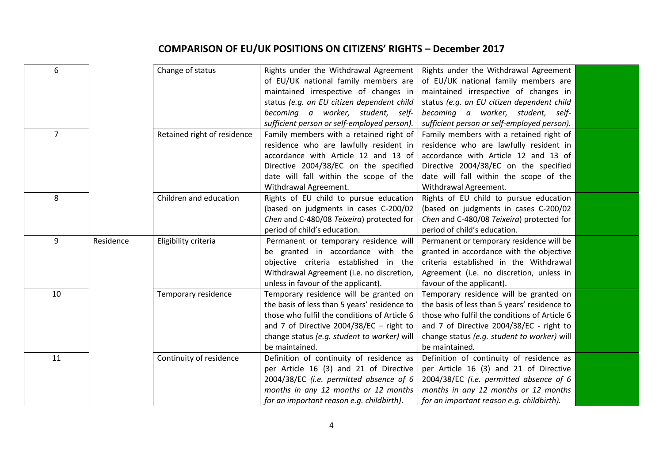| 6              |           | Change of status            | Rights under the Withdrawal Agreement        | Rights under the Withdrawal Agreement        |  |
|----------------|-----------|-----------------------------|----------------------------------------------|----------------------------------------------|--|
|                |           |                             | of EU/UK national family members are         | of EU/UK national family members are         |  |
|                |           |                             | maintained irrespective of changes in        | maintained irrespective of changes in        |  |
|                |           |                             | status (e.g. an EU citizen dependent child   | status (e.g. an EU citizen dependent child   |  |
|                |           |                             | becoming a worker, student, self-            | becoming a worker, student, self-            |  |
|                |           |                             | sufficient person or self-employed person).  | sufficient person or self-employed person).  |  |
| $\overline{7}$ |           | Retained right of residence | Family members with a retained right of      | Family members with a retained right of      |  |
|                |           |                             | residence who are lawfully resident in       | residence who are lawfully resident in       |  |
|                |           |                             | accordance with Article 12 and 13 of         | accordance with Article 12 and 13 of         |  |
|                |           |                             | Directive 2004/38/EC on the specified        | Directive 2004/38/EC on the specified        |  |
|                |           |                             | date will fall within the scope of the       | date will fall within the scope of the       |  |
|                |           |                             | Withdrawal Agreement.                        | Withdrawal Agreement.                        |  |
| 8              |           | Children and education      | Rights of EU child to pursue education       | Rights of EU child to pursue education       |  |
|                |           |                             | (based on judgments in cases C-200/02        | (based on judgments in cases C-200/02        |  |
|                |           |                             | Chen and C-480/08 Teixeira) protected for    | Chen and C-480/08 Teixeira) protected for    |  |
|                |           |                             | period of child's education.                 | period of child's education.                 |  |
| 9              | Residence | Eligibility criteria        | Permanent or temporary residence will        | Permanent or temporary residence will be     |  |
|                |           |                             | be granted in accordance with the            | granted in accordance with the objective     |  |
|                |           |                             | objective criteria established in the        | criteria established in the Withdrawal       |  |
|                |           |                             | Withdrawal Agreement (i.e. no discretion,    | Agreement (i.e. no discretion, unless in     |  |
|                |           |                             | unless in favour of the applicant).          | favour of the applicant).                    |  |
| 10             |           | Temporary residence         | Temporary residence will be granted on       | Temporary residence will be granted on       |  |
|                |           |                             | the basis of less than 5 years' residence to | the basis of less than 5 years' residence to |  |
|                |           |                             | those who fulfil the conditions of Article 6 | those who fulfil the conditions of Article 6 |  |
|                |           |                             | and 7 of Directive $2004/38/EC$ - right to   | and 7 of Directive 2004/38/EC - right to     |  |
|                |           |                             | change status (e.g. student to worker) will  | change status (e.g. student to worker) will  |  |
|                |           |                             | be maintained.                               | be maintained.                               |  |
| 11             |           | Continuity of residence     | Definition of continuity of residence as     | Definition of continuity of residence as     |  |
|                |           |                             | per Article 16 (3) and 21 of Directive       | per Article 16 (3) and 21 of Directive       |  |
|                |           |                             | 2004/38/EC (i.e. permitted absence of 6      | 2004/38/EC (i.e. permitted absence of 6      |  |
|                |           |                             | months in any 12 months or 12 months         | months in any 12 months or 12 months         |  |
|                |           |                             | for an important reason e.g. childbirth).    | for an important reason e.g. childbirth).    |  |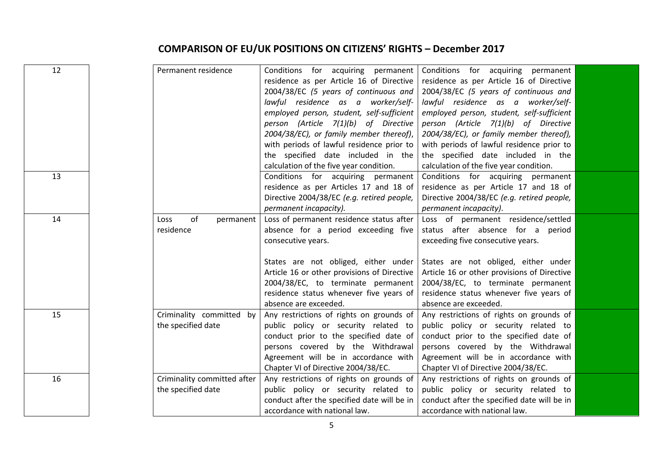| 12 | Permanent residence                               | Conditions for acquiring permanent<br>residence as per Article 16 of Directive<br>2004/38/EC (5 years of continuous and<br>lawful residence as a worker/self-<br>employed person, student, self-sufficient<br>person (Article 7(1)(b) of Directive<br>2004/38/EC), or family member thereof),<br>with periods of lawful residence prior to<br>the specified date included in the | Conditions for acquiring permanent<br>residence as per Article 16 of Directive<br>2004/38/EC (5 years of continuous and<br>lawful residence as a worker/self-<br>employed person, student, self-sufficient<br>person (Article 7(1)(b) of Directive<br>2004/38/EC), or family member thereof),<br>with periods of lawful residence prior to<br>the specified date included in the |  |
|----|---------------------------------------------------|----------------------------------------------------------------------------------------------------------------------------------------------------------------------------------------------------------------------------------------------------------------------------------------------------------------------------------------------------------------------------------|----------------------------------------------------------------------------------------------------------------------------------------------------------------------------------------------------------------------------------------------------------------------------------------------------------------------------------------------------------------------------------|--|
| 13 |                                                   | calculation of the five year condition.<br>Conditions for acquiring permanent<br>residence as per Articles 17 and 18 of<br>Directive 2004/38/EC (e.g. retired people,<br>permanent incapacity).                                                                                                                                                                                  | calculation of the five year condition.<br>Conditions for acquiring permanent<br>residence as per Article 17 and 18 of<br>Directive 2004/38/EC (e.g. retired people,<br>permanent incapacity).                                                                                                                                                                                   |  |
| 14 | of<br>Loss<br>permanent<br>residence              | Loss of permanent residence status after<br>absence for a period exceeding five<br>consecutive years.<br>States are not obliged, either under<br>Article 16 or other provisions of Directive<br>2004/38/EC, to terminate permanent<br>residence status whenever five years of<br>absence are exceeded.                                                                           | Loss of permanent residence/settled<br>status after absence for a period<br>exceeding five consecutive years.<br>States are not obliged, either under<br>Article 16 or other provisions of Directive<br>2004/38/EC, to terminate permanent<br>residence status whenever five years of<br>absence are exceeded.                                                                   |  |
| 15 | Criminality committed by<br>the specified date    | Any restrictions of rights on grounds of<br>public policy or security related to<br>conduct prior to the specified date of<br>persons covered by the Withdrawal<br>Agreement will be in accordance with<br>Chapter VI of Directive 2004/38/EC.                                                                                                                                   | Any restrictions of rights on grounds of<br>public policy or security related to<br>conduct prior to the specified date of<br>persons covered by the Withdrawal<br>Agreement will be in accordance with<br>Chapter VI of Directive 2004/38/EC.                                                                                                                                   |  |
| 16 | Criminality committed after<br>the specified date | Any restrictions of rights on grounds of<br>public policy or security related to<br>conduct after the specified date will be in<br>accordance with national law.                                                                                                                                                                                                                 | Any restrictions of rights on grounds of<br>public policy or security related to<br>conduct after the specified date will be in<br>accordance with national law.                                                                                                                                                                                                                 |  |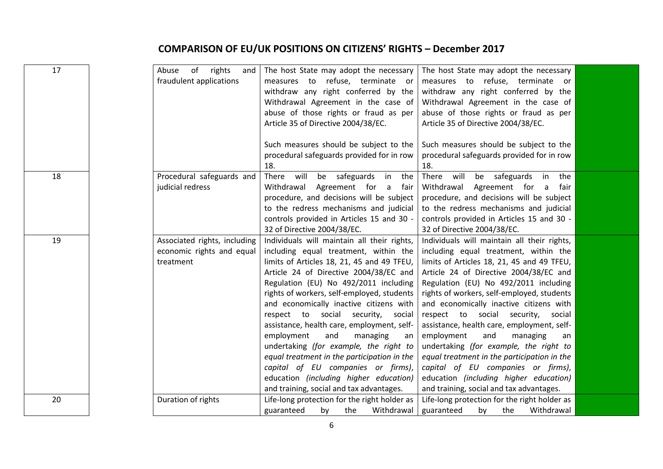| 17 | Abuse of<br>rights<br>and<br>fraudulent applications                   | The host State may adopt the necessary<br>measures to refuse, terminate or<br>withdraw any right conferred by the<br>Withdrawal Agreement in the case of<br>abuse of those rights or fraud as per<br>Article 35 of Directive 2004/38/EC.<br>Such measures should be subject to the<br>procedural safeguards provided for in row<br>18.                                                                                                                                                                                                                                                                                                                         | The host State may adopt the necessary<br>measures to refuse, terminate or<br>withdraw any right conferred by the<br>Withdrawal Agreement in the case of<br>abuse of those rights or fraud as per<br>Article 35 of Directive 2004/38/EC.<br>Such measures should be subject to the<br>procedural safeguards provided for in row<br>18.                                                                                                                                                                                                                                                                                                                         |  |
|----|------------------------------------------------------------------------|----------------------------------------------------------------------------------------------------------------------------------------------------------------------------------------------------------------------------------------------------------------------------------------------------------------------------------------------------------------------------------------------------------------------------------------------------------------------------------------------------------------------------------------------------------------------------------------------------------------------------------------------------------------|----------------------------------------------------------------------------------------------------------------------------------------------------------------------------------------------------------------------------------------------------------------------------------------------------------------------------------------------------------------------------------------------------------------------------------------------------------------------------------------------------------------------------------------------------------------------------------------------------------------------------------------------------------------|--|
| 18 | Procedural safeguards and<br>judicial redress                          | There will be safeguards in the<br>Agreement for a fair<br>Withdrawal<br>procedure, and decisions will be subject<br>to the redress mechanisms and judicial<br>controls provided in Articles 15 and 30 -<br>32 of Directive 2004/38/EC.                                                                                                                                                                                                                                                                                                                                                                                                                        | be safeguards<br>There will<br>the<br>in<br>Withdrawal Agreement for a<br>fair<br>procedure, and decisions will be subject<br>to the redress mechanisms and judicial<br>controls provided in Articles 15 and 30 -<br>32 of Directive 2004/38/EC.                                                                                                                                                                                                                                                                                                                                                                                                               |  |
| 19 | Associated rights, including<br>economic rights and equal<br>treatment | Individuals will maintain all their rights,<br>including equal treatment, within the<br>limits of Articles 18, 21, 45 and 49 TFEU,<br>Article 24 of Directive 2004/38/EC and<br>Regulation (EU) No 492/2011 including<br>rights of workers, self-employed, students<br>and economically inactive citizens with<br>respect to social security, social<br>assistance, health care, employment, self-<br>employment<br>and<br>managing<br>an<br>undertaking (for example, the right to<br>equal treatment in the participation in the<br>capital of EU companies or firms),<br>education (including higher education)<br>and training, social and tax advantages. | Individuals will maintain all their rights,<br>including equal treatment, within the<br>limits of Articles 18, 21, 45 and 49 TFEU,<br>Article 24 of Directive 2004/38/EC and<br>Regulation (EU) No 492/2011 including<br>rights of workers, self-employed, students<br>and economically inactive citizens with<br>respect to social security, social<br>assistance, health care, employment, self-<br>employment<br>and<br>managing<br>an<br>undertaking (for example, the right to<br>equal treatment in the participation in the<br>capital of EU companies or firms),<br>education (including higher education)<br>and training, social and tax advantages. |  |
| 20 | Duration of rights                                                     | Life-long protection for the right holder as<br>the<br>Withdrawal<br>guaranteed<br>by                                                                                                                                                                                                                                                                                                                                                                                                                                                                                                                                                                          | Life-long protection for the right holder as<br>guaranteed<br>the<br>Withdrawal<br>by                                                                                                                                                                                                                                                                                                                                                                                                                                                                                                                                                                          |  |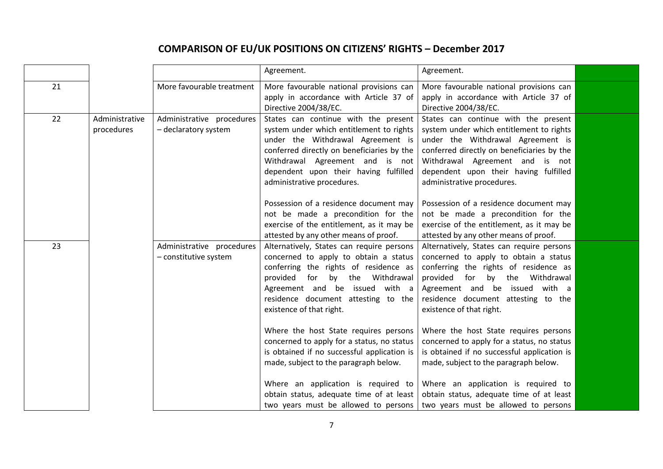|    |                              |                                                    | Agreement.                                                                                                                                                                                                                                                                                             | Agreement.                                                                                                                                                                                                                                                                                             |  |
|----|------------------------------|----------------------------------------------------|--------------------------------------------------------------------------------------------------------------------------------------------------------------------------------------------------------------------------------------------------------------------------------------------------------|--------------------------------------------------------------------------------------------------------------------------------------------------------------------------------------------------------------------------------------------------------------------------------------------------------|--|
| 21 |                              | More favourable treatment                          | More favourable national provisions can<br>apply in accordance with Article 37 of<br>Directive 2004/38/EC.                                                                                                                                                                                             | More favourable national provisions can<br>apply in accordance with Article 37 of<br>Directive 2004/38/EC.                                                                                                                                                                                             |  |
| 22 | Administrative<br>procedures | Administrative procedures<br>- declaratory system  | States can continue with the present<br>system under which entitlement to rights<br>under the Withdrawal Agreement is<br>conferred directly on beneficiaries by the<br>Withdrawal Agreement and is not<br>dependent upon their having fulfilled<br>administrative procedures.                          | States can continue with the present<br>system under which entitlement to rights<br>under the Withdrawal Agreement is<br>conferred directly on beneficiaries by the<br>Withdrawal Agreement and is not<br>dependent upon their having fulfilled<br>administrative procedures.                          |  |
|    |                              |                                                    | Possession of a residence document may<br>not be made a precondition for the<br>exercise of the entitlement, as it may be<br>attested by any other means of proof.                                                                                                                                     | Possession of a residence document may<br>not be made a precondition for the<br>exercise of the entitlement, as it may be<br>attested by any other means of proof.                                                                                                                                     |  |
| 23 |                              | Administrative procedures<br>- constitutive system | Alternatively, States can require persons<br>concerned to apply to obtain a status<br>conferring the rights of residence as<br>provided for by the Withdrawal<br>Agreement and be issued with a<br>residence document attesting to the<br>existence of that right.                                     | Alternatively, States can require persons<br>concerned to apply to obtain a status<br>conferring the rights of residence as<br>provided for by the Withdrawal<br>Agreement and be issued with a<br>residence document attesting to the<br>existence of that right.                                     |  |
|    |                              |                                                    | Where the host State requires persons<br>concerned to apply for a status, no status<br>is obtained if no successful application is<br>made, subject to the paragraph below.<br>Where an application is required to<br>obtain status, adequate time of at least<br>two years must be allowed to persons | Where the host State requires persons<br>concerned to apply for a status, no status<br>is obtained if no successful application is<br>made, subject to the paragraph below.<br>Where an application is required to<br>obtain status, adequate time of at least<br>two years must be allowed to persons |  |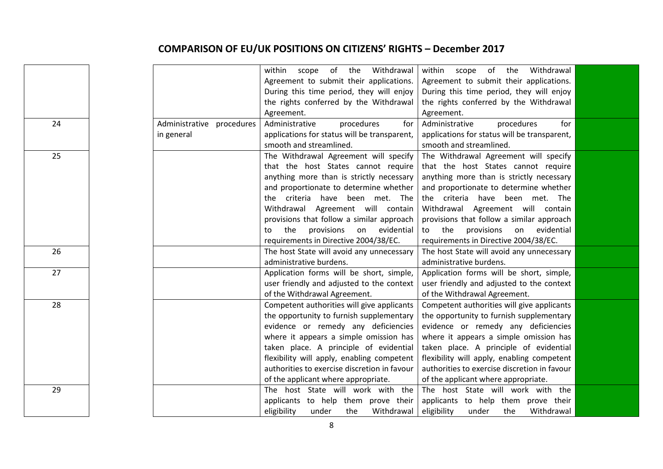|    |                           | Withdrawal<br>within scope of the            | within scope of the<br>Withdrawal            |  |
|----|---------------------------|----------------------------------------------|----------------------------------------------|--|
|    |                           | Agreement to submit their applications.      | Agreement to submit their applications.      |  |
|    |                           | During this time period, they will enjoy     | During this time period, they will enjoy     |  |
|    |                           | the rights conferred by the Withdrawal       | the rights conferred by the Withdrawal       |  |
|    |                           | Agreement.                                   | Agreement.                                   |  |
| 24 | Administrative procedures | Administrative<br>procedures<br>for          | Administrative<br>procedures<br>for          |  |
|    | in general                | applications for status will be transparent, | applications for status will be transparent, |  |
|    |                           | smooth and streamlined.                      | smooth and streamlined.                      |  |
| 25 |                           | The Withdrawal Agreement will specify        | The Withdrawal Agreement will specify        |  |
|    |                           | that the host States cannot require          | that the host States cannot require          |  |
|    |                           | anything more than is strictly necessary     | anything more than is strictly necessary     |  |
|    |                           | and proportionate to determine whether       | and proportionate to determine whether       |  |
|    |                           | the criteria have been met. The              | the criteria have been met. The              |  |
|    |                           | Withdrawal Agreement will contain            | Withdrawal Agreement will contain            |  |
|    |                           | provisions that follow a similar approach    | provisions that follow a similar approach    |  |
|    |                           | provisions on evidential<br>the<br>to        | to the<br>provisions on evidential           |  |
|    |                           | requirements in Directive 2004/38/EC.        | requirements in Directive 2004/38/EC.        |  |
| 26 |                           | The host State will avoid any unnecessary    | The host State will avoid any unnecessary    |  |
|    |                           | administrative burdens.                      | administrative burdens.                      |  |
| 27 |                           | Application forms will be short, simple,     | Application forms will be short, simple,     |  |
|    |                           | user friendly and adjusted to the context    | user friendly and adjusted to the context    |  |
|    |                           | of the Withdrawal Agreement.                 | of the Withdrawal Agreement.                 |  |
| 28 |                           | Competent authorities will give applicants   | Competent authorities will give applicants   |  |
|    |                           | the opportunity to furnish supplementary     | the opportunity to furnish supplementary     |  |
|    |                           | evidence or remedy any deficiencies          | evidence or remedy any deficiencies          |  |
|    |                           | where it appears a simple omission has       | where it appears a simple omission has       |  |
|    |                           | taken place. A principle of evidential       | taken place. A principle of evidential       |  |
|    |                           | flexibility will apply, enabling competent   | flexibility will apply, enabling competent   |  |
|    |                           | authorities to exercise discretion in favour | authorities to exercise discretion in favour |  |
|    |                           | of the applicant where appropriate.          | of the applicant where appropriate.          |  |
| 29 |                           | The host State will work with the            | The host State will work with the            |  |
|    |                           | applicants to help them prove their          | applicants to help them prove their          |  |
|    |                           | eligibility<br>under<br>the<br>Withdrawal    | eligibility<br>under<br>the<br>Withdrawal    |  |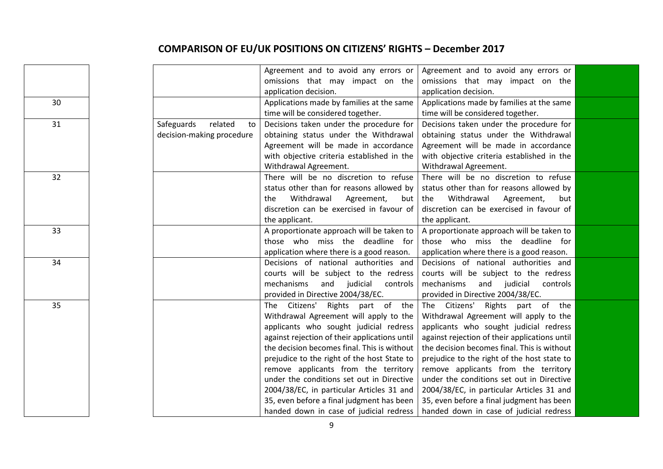|    |                             | Agreement and to avoid any errors or          | Agreement and to avoid any errors or          |  |
|----|-----------------------------|-----------------------------------------------|-----------------------------------------------|--|
|    |                             | omissions that may impact on the              | omissions that may impact on the              |  |
|    |                             | application decision.                         | application decision.                         |  |
| 30 |                             | Applications made by families at the same     | Applications made by families at the same     |  |
|    |                             | time will be considered together.             | time will be considered together.             |  |
| 31 | Safeguards<br>related<br>to | Decisions taken under the procedure for       | Decisions taken under the procedure for       |  |
|    | decision-making procedure   | obtaining status under the Withdrawal         | obtaining status under the Withdrawal         |  |
|    |                             | Agreement will be made in accordance          | Agreement will be made in accordance          |  |
|    |                             | with objective criteria established in the    | with objective criteria established in the    |  |
|    |                             | Withdrawal Agreement.                         | Withdrawal Agreement.                         |  |
| 32 |                             | There will be no discretion to refuse         | There will be no discretion to refuse         |  |
|    |                             | status other than for reasons allowed by      | status other than for reasons allowed by      |  |
|    |                             | Withdrawal<br>Agreement,<br>the<br>but        | Withdrawal<br>Agreement,<br>the<br>but        |  |
|    |                             | discretion can be exercised in favour of      | discretion can be exercised in favour of      |  |
|    |                             | the applicant.                                | the applicant.                                |  |
| 33 |                             | A proportionate approach will be taken to     | A proportionate approach will be taken to     |  |
|    |                             | those who miss the deadline for               | those who miss the deadline for               |  |
|    |                             | application where there is a good reason.     | application where there is a good reason.     |  |
| 34 |                             | Decisions of national authorities and         | Decisions of national authorities and         |  |
|    |                             | courts will be subject to the redress         | courts will be subject to the redress         |  |
|    |                             | mechanisms<br>and<br>judicial<br>controls     | mechanisms<br>and judicial<br>controls        |  |
|    |                             | provided in Directive 2004/38/EC.             | provided in Directive 2004/38/EC.             |  |
| 35 |                             | The Citizens' Rights part of the              | The Citizens' Rights part of the              |  |
|    |                             | Withdrawal Agreement will apply to the        | Withdrawal Agreement will apply to the        |  |
|    |                             | applicants who sought judicial redress        | applicants who sought judicial redress        |  |
|    |                             | against rejection of their applications until | against rejection of their applications until |  |
|    |                             | the decision becomes final. This is without   | the decision becomes final. This is without   |  |
|    |                             | prejudice to the right of the host State to   | prejudice to the right of the host state to   |  |
|    |                             | remove applicants from the territory          | remove applicants from the territory          |  |
|    |                             | under the conditions set out in Directive     | under the conditions set out in Directive     |  |
|    |                             | 2004/38/EC, in particular Articles 31 and     | 2004/38/EC, in particular Articles 31 and     |  |
|    |                             | 35, even before a final judgment has been     | 35, even before a final judgment has been     |  |
|    |                             | handed down in case of judicial redress       | handed down in case of judicial redress       |  |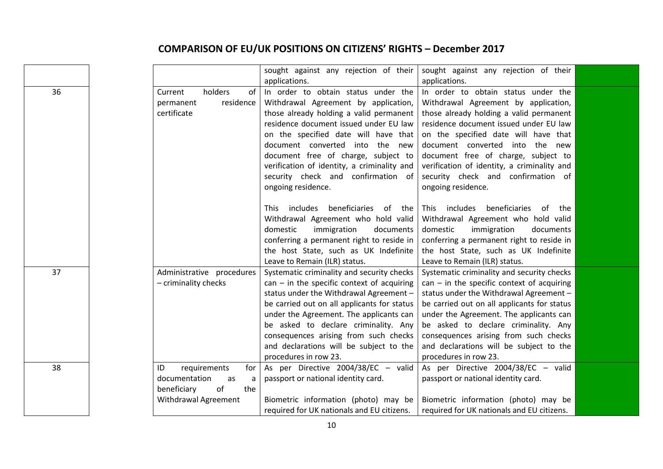|    |                           | sought against any rejection of their        | sought against any rejection of their        |  |
|----|---------------------------|----------------------------------------------|----------------------------------------------|--|
|    |                           | applications.                                | applications.                                |  |
| 36 | holders<br>of<br>Current  | In order to obtain status under the          | In order to obtain status under the          |  |
|    | residence<br>permanent    | Withdrawal Agreement by application,         | Withdrawal Agreement by application,         |  |
|    | certificate               | those already holding a valid permanent      | those already holding a valid permanent      |  |
|    |                           | residence document issued under EU law       | residence document issued under EU law       |  |
|    |                           | on the specified date will have that         | on the specified date will have that         |  |
|    |                           | document converted into the new              | document converted into the new              |  |
|    |                           | document free of charge, subject to          | document free of charge, subject to          |  |
|    |                           | verification of identity, a criminality and  | verification of identity, a criminality and  |  |
|    |                           | security check and confirmation of           | security check and confirmation of           |  |
|    |                           | ongoing residence.                           | ongoing residence.                           |  |
|    |                           |                                              |                                              |  |
|    |                           | This includes beneficiaries of the           | This includes beneficiaries<br>of<br>the     |  |
|    |                           | Withdrawal Agreement who hold valid          | Withdrawal Agreement who hold valid          |  |
|    |                           | domestic<br>immigration<br>documents         | domestic<br>immigration<br>documents         |  |
|    |                           | conferring a permanent right to reside in    | conferring a permanent right to reside in    |  |
|    |                           | the host State, such as UK Indefinite        | the host State, such as UK Indefinite        |  |
|    |                           | Leave to Remain (ILR) status.                | Leave to Remain (ILR) status.                |  |
| 37 | Administrative procedures | Systematic criminality and security checks   | Systematic criminality and security checks   |  |
|    | - criminality checks      | $can$ – in the specific context of acquiring | $can$ – in the specific context of acquiring |  |
|    |                           | status under the Withdrawal Agreement -      | status under the Withdrawal Agreement -      |  |
|    |                           | be carried out on all applicants for status  | be carried out on all applicants for status  |  |
|    |                           | under the Agreement. The applicants can      | under the Agreement. The applicants can      |  |
|    |                           | be asked to declare criminality. Any         | be asked to declare criminality. Any         |  |
|    |                           | consequences arising from such checks        | consequences arising from such checks        |  |
|    |                           | and declarations will be subject to the      | and declarations will be subject to the      |  |
|    |                           | procedures in row 23.                        | procedures in row 23.                        |  |
| 38 | requirements<br>ID<br>for | As per Directive 2004/38/EC - valid          | As per Directive 2004/38/EC - valid          |  |
|    | documentation<br>as<br>a  | passport or national identity card.          | passport or national identity card.          |  |
|    | of<br>beneficiary<br>the  |                                              |                                              |  |
|    | Withdrawal Agreement      | Biometric information (photo) may be         | Biometric information (photo) may be         |  |
|    |                           | required for UK nationals and EU citizens.   | required for UK nationals and EU citizens.   |  |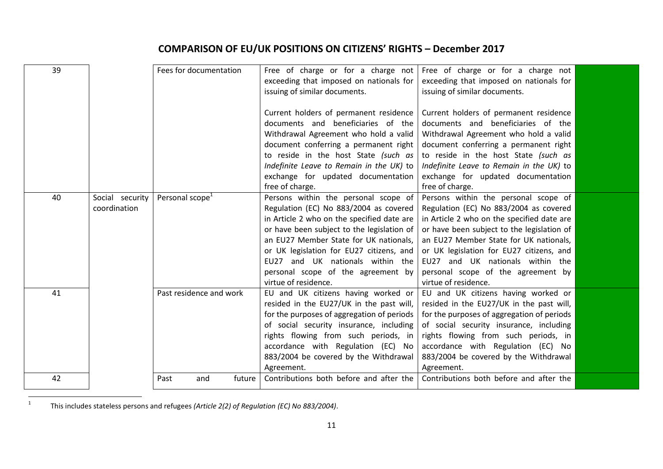| 39 |                 | Fees for documentation      | Free of charge or for a charge not<br>exceeding that imposed on nationals for<br>issuing of similar documents. | Free of charge or for a charge not<br>exceeding that imposed on nationals for<br>issuing of similar documents. |  |
|----|-----------------|-----------------------------|----------------------------------------------------------------------------------------------------------------|----------------------------------------------------------------------------------------------------------------|--|
|    |                 |                             | Current holders of permanent residence<br>documents and beneficiaries of the                                   | Current holders of permanent residence<br>documents and beneficiaries of the                                   |  |
|    |                 |                             | Withdrawal Agreement who hold a valid                                                                          | Withdrawal Agreement who hold a valid                                                                          |  |
|    |                 |                             | document conferring a permanent right                                                                          | document conferring a permanent right                                                                          |  |
|    |                 |                             | to reside in the host State (such as                                                                           | to reside in the host State (such as                                                                           |  |
|    |                 |                             | Indefinite Leave to Remain in the UK) to                                                                       | Indefinite Leave to Remain in the UK) to                                                                       |  |
|    |                 |                             | exchange for updated documentation                                                                             | exchange for updated documentation                                                                             |  |
|    |                 |                             | free of charge.                                                                                                | free of charge.                                                                                                |  |
| 40 | Social security | Personal scope <sup>1</sup> | Persons within the personal scope of                                                                           | Persons within the personal scope of                                                                           |  |
|    | coordination    |                             | Regulation (EC) No 883/2004 as covered                                                                         | Regulation (EC) No 883/2004 as covered                                                                         |  |
|    |                 |                             | in Article 2 who on the specified date are                                                                     | in Article 2 who on the specified date are                                                                     |  |
|    |                 |                             | or have been subject to the legislation of                                                                     | or have been subject to the legislation of                                                                     |  |
|    |                 |                             | an EU27 Member State for UK nationals,                                                                         | an EU27 Member State for UK nationals,                                                                         |  |
|    |                 |                             | or UK legislation for EU27 citizens, and                                                                       | or UK legislation for EU27 citizens, and                                                                       |  |
|    |                 |                             | EU27 and UK nationals within the                                                                               | EU27 and UK nationals within the                                                                               |  |
|    |                 |                             | personal scope of the agreement by                                                                             | personal scope of the agreement by                                                                             |  |
|    |                 |                             | virtue of residence.                                                                                           | virtue of residence.                                                                                           |  |
| 41 |                 | Past residence and work     | EU and UK citizens having worked or                                                                            | EU and UK citizens having worked or                                                                            |  |
|    |                 |                             | resided in the EU27/UK in the past will,                                                                       | resided in the EU27/UK in the past will,                                                                       |  |
|    |                 |                             | for the purposes of aggregation of periods                                                                     | for the purposes of aggregation of periods                                                                     |  |
|    |                 |                             | of social security insurance, including                                                                        | of social security insurance, including                                                                        |  |
|    |                 |                             | rights flowing from such periods, in                                                                           | rights flowing from such periods, in                                                                           |  |
|    |                 |                             | accordance with Regulation (EC) No                                                                             | accordance with Regulation (EC) No                                                                             |  |
|    |                 |                             | 883/2004 be covered by the Withdrawal<br>Agreement.                                                            | 883/2004 be covered by the Withdrawal<br>Agreement.                                                            |  |
| 42 |                 | future<br>Past<br>and       | Contributions both before and after the                                                                        | Contributions both before and after the                                                                        |  |
|    |                 |                             |                                                                                                                |                                                                                                                |  |

 $\frac{1}{1}$ This includes stateless persons and refugees *(Article 2(2) of Regulation (EC) No 883/2004)*.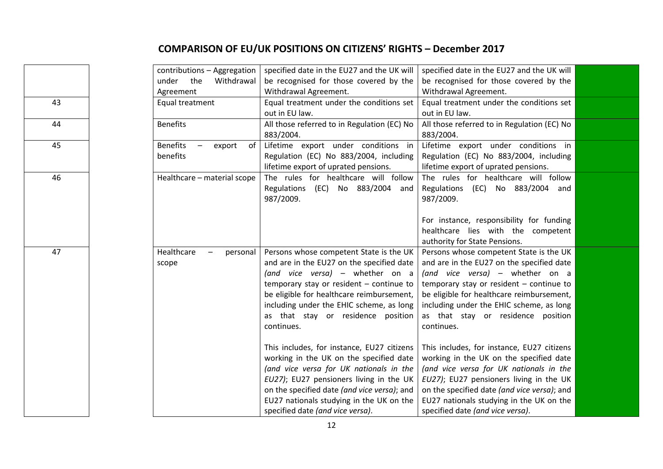|    | contributions - Aggregation                        | specified date in the EU27 and the UK will  | specified date in the EU27 and the UK will  |  |
|----|----------------------------------------------------|---------------------------------------------|---------------------------------------------|--|
|    | under the<br>Withdrawal                            | be recognised for those covered by the      | be recognised for those covered by the      |  |
|    | Agreement                                          | Withdrawal Agreement.                       | Withdrawal Agreement.                       |  |
| 43 | Equal treatment                                    | Equal treatment under the conditions set    | Equal treatment under the conditions set    |  |
|    |                                                    | out in EU law.                              | out in EU law.                              |  |
| 44 | <b>Benefits</b>                                    | All those referred to in Regulation (EC) No | All those referred to in Regulation (EC) No |  |
|    |                                                    | 883/2004.                                   | 883/2004.                                   |  |
| 45 | <b>Benefits</b><br>of<br>export                    | Lifetime export under conditions in         | Lifetime export under conditions in         |  |
|    | benefits                                           | Regulation (EC) No 883/2004, including      | Regulation (EC) No 883/2004, including      |  |
|    |                                                    | lifetime export of uprated pensions.        | lifetime export of uprated pensions.        |  |
| 46 | Healthcare - material scope                        | The rules for healthcare will follow        | The rules for healthcare will follow        |  |
|    |                                                    | Regulations (EC) No 883/2004<br>and         | Regulations (EC) No 883/2004<br>and         |  |
|    |                                                    | 987/2009.                                   | 987/2009.                                   |  |
|    |                                                    |                                             |                                             |  |
|    |                                                    |                                             | For instance, responsibility for funding    |  |
|    |                                                    |                                             | healthcare lies with the competent          |  |
|    |                                                    |                                             | authority for State Pensions.               |  |
| 47 | Healthcare<br>personal<br>$\overline{\phantom{m}}$ | Persons whose competent State is the UK     | Persons whose competent State is the UK     |  |
|    | scope                                              | and are in the EU27 on the specified date   | and are in the EU27 on the specified date   |  |
|    |                                                    | (and vice versa) - whether on a             | (and vice versa) - whether on a             |  |
|    |                                                    | temporary stay or resident - continue to    | temporary stay or resident - continue to    |  |
|    |                                                    | be eligible for healthcare reimbursement,   | be eligible for healthcare reimbursement,   |  |
|    |                                                    | including under the EHIC scheme, as long    | including under the EHIC scheme, as long    |  |
|    |                                                    | as that stay or residence position          | as that stay or residence position          |  |
|    |                                                    | continues.                                  | continues.                                  |  |
|    |                                                    |                                             |                                             |  |
|    |                                                    | This includes, for instance, EU27 citizens  | This includes, for instance, EU27 citizens  |  |
|    |                                                    | working in the UK on the specified date     | working in the UK on the specified date     |  |
|    |                                                    | (and vice versa for UK nationals in the     | (and vice versa for UK nationals in the     |  |
|    |                                                    | EU27); EU27 pensioners living in the UK     | EU27); EU27 pensioners living in the UK     |  |
|    |                                                    | on the specified date (and vice versa); and | on the specified date (and vice versa); and |  |
|    |                                                    | EU27 nationals studying in the UK on the    | EU27 nationals studying in the UK on the    |  |
|    |                                                    | specified date (and vice versa).            | specified date (and vice versa).            |  |
|    |                                                    |                                             |                                             |  |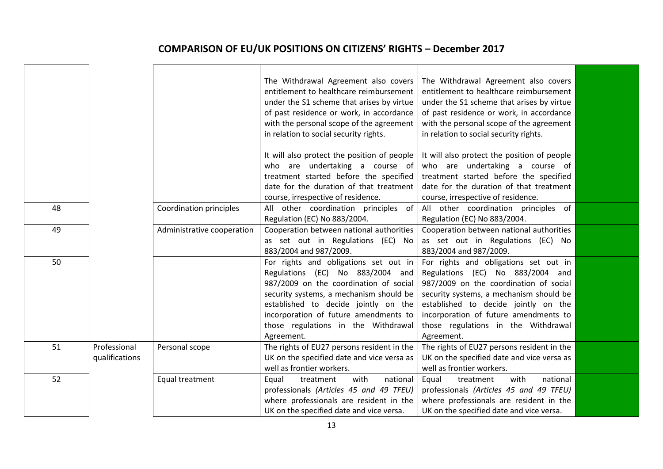|    |                                |                            | The Withdrawal Agreement also covers<br>entitlement to healthcare reimbursement<br>under the S1 scheme that arises by virtue<br>of past residence or work, in accordance<br>with the personal scope of the agreement<br>in relation to social security rights.                         | The Withdrawal Agreement also covers<br>entitlement to healthcare reimbursement<br>under the S1 scheme that arises by virtue<br>of past residence or work, in accordance<br>with the personal scope of the agreement<br>in relation to social security rights.                         |  |
|----|--------------------------------|----------------------------|----------------------------------------------------------------------------------------------------------------------------------------------------------------------------------------------------------------------------------------------------------------------------------------|----------------------------------------------------------------------------------------------------------------------------------------------------------------------------------------------------------------------------------------------------------------------------------------|--|
|    |                                |                            | It will also protect the position of people<br>who are undertaking a course of<br>treatment started before the specified<br>date for the duration of that treatment                                                                                                                    | It will also protect the position of people<br>who are undertaking a course of<br>treatment started before the specified<br>date for the duration of that treatment                                                                                                                    |  |
|    |                                |                            | course, irrespective of residence.                                                                                                                                                                                                                                                     | course, irrespective of residence.                                                                                                                                                                                                                                                     |  |
| 48 |                                | Coordination principles    | All other coordination principles of<br>Regulation (EC) No 883/2004.                                                                                                                                                                                                                   | All other coordination principles of<br>Regulation (EC) No 883/2004.                                                                                                                                                                                                                   |  |
| 49 |                                | Administrative cooperation | Cooperation between national authorities<br>as set out in Regulations (EC) No<br>883/2004 and 987/2009.                                                                                                                                                                                | Cooperation between national authorities<br>as set out in Regulations (EC) No<br>883/2004 and 987/2009.                                                                                                                                                                                |  |
| 50 |                                |                            | For rights and obligations set out in<br>Regulations (EC) No 883/2004 and<br>987/2009 on the coordination of social<br>security systems, a mechanism should be<br>established to decide jointly on the<br>incorporation of future amendments to<br>those regulations in the Withdrawal | For rights and obligations set out in<br>Regulations (EC) No 883/2004 and<br>987/2009 on the coordination of social<br>security systems, a mechanism should be<br>established to decide jointly on the<br>incorporation of future amendments to<br>those regulations in the Withdrawal |  |
| 51 | Professional<br>qualifications | Personal scope             | Agreement.<br>The rights of EU27 persons resident in the<br>UK on the specified date and vice versa as<br>well as frontier workers.                                                                                                                                                    | Agreement.<br>The rights of EU27 persons resident in the<br>UK on the specified date and vice versa as<br>well as frontier workers.                                                                                                                                                    |  |
| 52 |                                | Equal treatment            | with<br>national<br>Equal<br>treatment<br>professionals (Articles 45 and 49 TFEU)<br>where professionals are resident in the<br>UK on the specified date and vice versa.                                                                                                               | with<br>national<br>Equal<br>treatment<br>professionals (Articles 45 and 49 TFEU)<br>where professionals are resident in the<br>UK on the specified date and vice versa.                                                                                                               |  |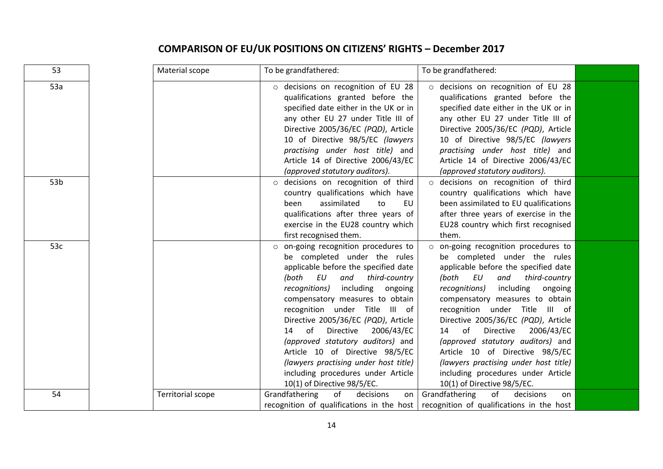| 53              | Material scope           | To be grandfathered:                                                                                                                                                                                                                                                                                                                                                                                                                                                                                                         | To be grandfathered:                                                                                                                                                                                                                                                                                                                                                                                                                                                                                                                  |  |
|-----------------|--------------------------|------------------------------------------------------------------------------------------------------------------------------------------------------------------------------------------------------------------------------------------------------------------------------------------------------------------------------------------------------------------------------------------------------------------------------------------------------------------------------------------------------------------------------|---------------------------------------------------------------------------------------------------------------------------------------------------------------------------------------------------------------------------------------------------------------------------------------------------------------------------------------------------------------------------------------------------------------------------------------------------------------------------------------------------------------------------------------|--|
| 53a             |                          | o decisions on recognition of EU 28<br>qualifications granted before the<br>specified date either in the UK or in<br>any other EU 27 under Title III of<br>Directive 2005/36/EC (PQD), Article<br>10 of Directive 98/5/EC (lawyers<br>practising under host title) and<br>Article 14 of Directive 2006/43/EC<br>(approved statutory auditors).                                                                                                                                                                               | o decisions on recognition of EU 28<br>qualifications granted before the<br>specified date either in the UK or in<br>any other EU 27 under Title III of<br>Directive 2005/36/EC (PQD), Article<br>10 of Directive 98/5/EC (lawyers<br>practising under host title) and<br>Article 14 of Directive 2006/43/EC<br>(approved statutory auditors).                                                                                                                                                                                        |  |
| 53 <sub>b</sub> |                          | o decisions on recognition of third<br>country qualifications which have<br>assimilated<br>to<br>EU<br>been<br>qualifications after three years of<br>exercise in the EU28 country which<br>first recognised them.                                                                                                                                                                                                                                                                                                           | o decisions on recognition of third<br>country qualifications which have<br>been assimilated to EU qualifications<br>after three years of exercise in the<br>EU28 country which first recognised<br>them.                                                                                                                                                                                                                                                                                                                             |  |
| 53c             |                          | o on-going recognition procedures to<br>be completed under the rules<br>applicable before the specified date<br>third-country<br>(both EU<br>and<br>including<br>recognitions)<br>ongoing<br>compensatory measures to obtain<br>recognition under Title III of<br>Directive 2005/36/EC (PQD), Article<br>of Directive 2006/43/EC<br>14<br>(approved statutory auditors) and<br>Article 10 of Directive 98/5/EC<br>(lawyers practising under host title)<br>including procedures under Article<br>10(1) of Directive 98/5/EC. | o on-going recognition procedures to<br>be completed under the rules<br>applicable before the specified date<br>third-country<br>(both<br>EU<br>and<br>including<br>ongoing<br>recognitions)<br>compensatory measures to obtain<br>recognition under Title<br>III of<br>Directive 2005/36/EC (PQD), Article<br>14 of<br>Directive<br>2006/43/EC<br>(approved statutory auditors) and<br>Article 10 of Directive 98/5/EC<br>(lawyers practising under host title)<br>including procedures under Article<br>10(1) of Directive 98/5/EC. |  |
| 54              | <b>Territorial scope</b> | Grandfathering<br>of<br>decisions<br>on                                                                                                                                                                                                                                                                                                                                                                                                                                                                                      | Grandfathering<br>of<br>decisions<br>on<br>recognition of qualifications in the host   recognition of qualifications in the host                                                                                                                                                                                                                                                                                                                                                                                                      |  |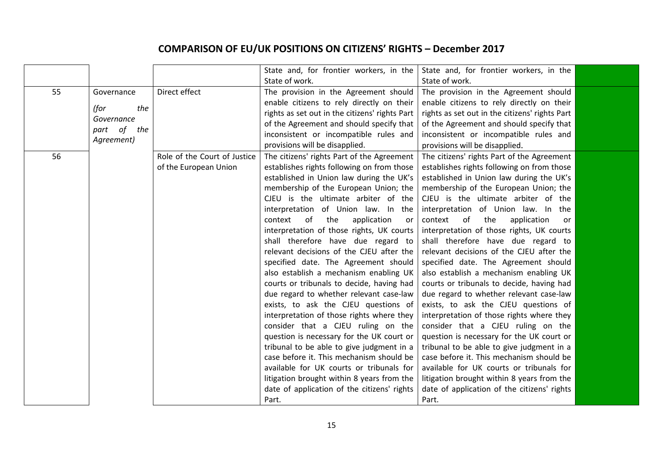|    |                |                              | State and, for frontier workers, in the        | State and, for frontier workers, in the        |  |
|----|----------------|------------------------------|------------------------------------------------|------------------------------------------------|--|
|    |                |                              | State of work.                                 | State of work.                                 |  |
| 55 | Governance     | Direct effect                | The provision in the Agreement should          | The provision in the Agreement should          |  |
|    |                |                              | enable citizens to rely directly on their      | enable citizens to rely directly on their      |  |
|    | (for<br>the    |                              | rights as set out in the citizens' rights Part | rights as set out in the citizens' rights Part |  |
|    | Governance     |                              | of the Agreement and should specify that       | of the Agreement and should specify that       |  |
|    | part of<br>the |                              | inconsistent or incompatible rules and         | inconsistent or incompatible rules and         |  |
|    | Agreement)     |                              | provisions will be disapplied.                 | provisions will be disapplied.                 |  |
| 56 |                | Role of the Court of Justice | The citizens' rights Part of the Agreement     | The citizens' rights Part of the Agreement     |  |
|    |                | of the European Union        | establishes rights following on from those     | establishes rights following on from those     |  |
|    |                |                              | established in Union law during the UK's       | established in Union law during the UK's       |  |
|    |                |                              | membership of the European Union; the          | membership of the European Union; the          |  |
|    |                |                              | CJEU is the ultimate arbiter of the            | CJEU is the ultimate arbiter of the            |  |
|    |                |                              | interpretation of Union law. In the            | interpretation of Union law. In the            |  |
|    |                |                              | of<br>the<br>application<br>context<br>or      | of<br>context<br>the<br>application<br>or      |  |
|    |                |                              | interpretation of those rights, UK courts      | interpretation of those rights, UK courts      |  |
|    |                |                              | shall therefore have due regard to             | shall therefore have due regard to             |  |
|    |                |                              | relevant decisions of the CJEU after the       | relevant decisions of the CJEU after the       |  |
|    |                |                              | specified date. The Agreement should           | specified date. The Agreement should           |  |
|    |                |                              | also establish a mechanism enabling UK         | also establish a mechanism enabling UK         |  |
|    |                |                              | courts or tribunals to decide, having had      | courts or tribunals to decide, having had      |  |
|    |                |                              | due regard to whether relevant case-law        | due regard to whether relevant case-law        |  |
|    |                |                              | exists, to ask the CJEU questions of           | exists, to ask the CJEU questions of           |  |
|    |                |                              | interpretation of those rights where they      | interpretation of those rights where they      |  |
|    |                |                              | consider that a CJEU ruling on the             | consider that a CJEU ruling on the             |  |
|    |                |                              | question is necessary for the UK court or      | question is necessary for the UK court or      |  |
|    |                |                              | tribunal to be able to give judgment in a      | tribunal to be able to give judgment in a      |  |
|    |                |                              | case before it. This mechanism should be       | case before it. This mechanism should be       |  |
|    |                |                              | available for UK courts or tribunals for       | available for UK courts or tribunals for       |  |
|    |                |                              | litigation brought within 8 years from the     | litigation brought within 8 years from the     |  |
|    |                |                              | date of application of the citizens' rights    | date of application of the citizens' rights    |  |
|    |                |                              | Part.                                          | Part.                                          |  |